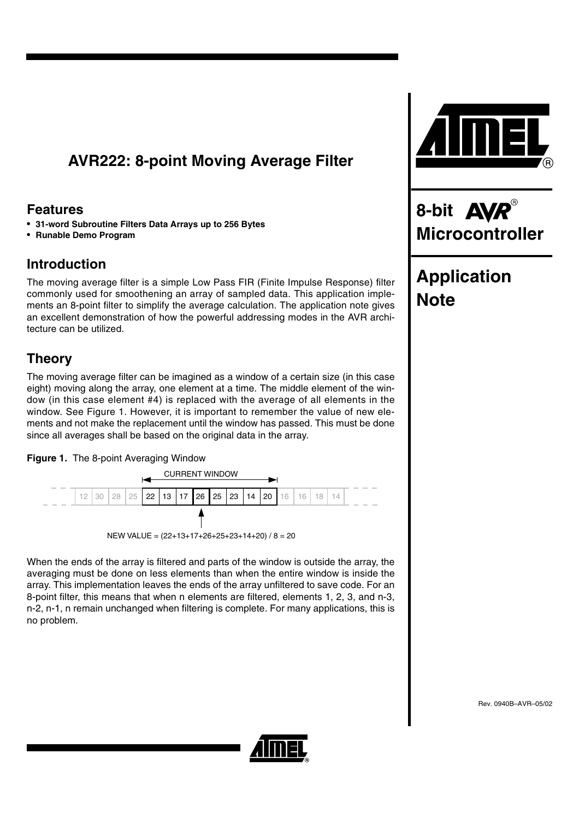# **AVR222: 8-point Moving Average Filter**

## **Features**

- **31-word Subroutine Filters Data Arrays up to 256 Bytes**
- **Runable Demo Program**

## **Introduction**

The moving average filter is a simple Low Pass FIR (Finite Impulse Response) filter commonly used for smoothening an array of sampled data. This application implements an 8-point filter to simplify the average calculation. The application note gives an excellent demonstration of how the powerful addressing modes in the AVR architecture can be utilized.

## **Theory**

The moving average filter can be imagined as a window of a certain size (in this case eight) moving along the array, one element at a time. The middle element of the window (in this case element #4) is replaced with the average of all elements in the window. See [Figure 1.](#page-0-0) However, it is important to remember the value of new elements and not make the replacement until the window has passed. This must be done since all averages shall be based on the original data in the array.

## <span id="page-0-0"></span>**Figure 1.** The 8-point Averaging Window



When the ends of the array is filtered and parts of the window is outside the array, the averaging must be done on less elements than when the entire window is inside the array. This implementation leaves the ends of the array unfiltered to save code. For an 8-point filter, this means that when n elements are filtered, elements 1, 2, 3, and n-3, n-2, n-1, n remain unchanged when filtering is complete. For many applications, this is no problem.



# **8-bit Microcontroller**

# **Application Note**

Rev. 0940B–AVR–05/02

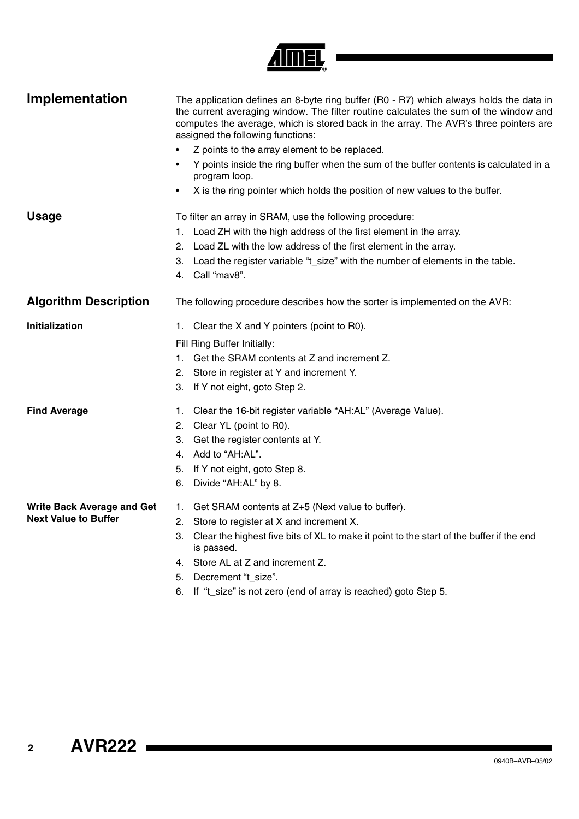

| Implementation                    | The application defines an 8-byte ring buffer (R0 - R7) which always holds the data in<br>the current averaging window. The filter routine calculates the sum of the window and<br>computes the average, which is stored back in the array. The AVR's three pointers are<br>assigned the following functions:<br>Z points to the array element to be replaced. |  |  |
|-----------------------------------|----------------------------------------------------------------------------------------------------------------------------------------------------------------------------------------------------------------------------------------------------------------------------------------------------------------------------------------------------------------|--|--|
|                                   | Y points inside the ring buffer when the sum of the buffer contents is calculated in a<br>program loop.                                                                                                                                                                                                                                                        |  |  |
|                                   | X is the ring pointer which holds the position of new values to the buffer.<br>٠                                                                                                                                                                                                                                                                               |  |  |
| <b>Usage</b>                      | To filter an array in SRAM, use the following procedure:                                                                                                                                                                                                                                                                                                       |  |  |
|                                   | Load ZH with the high address of the first element in the array.<br>1.                                                                                                                                                                                                                                                                                         |  |  |
|                                   | Load ZL with the low address of the first element in the array.<br>2.                                                                                                                                                                                                                                                                                          |  |  |
|                                   | Load the register variable "t_size" with the number of elements in the table.<br>З.<br>Call "mav8".<br>4.                                                                                                                                                                                                                                                      |  |  |
| <b>Algorithm Description</b>      | The following procedure describes how the sorter is implemented on the AVR:                                                                                                                                                                                                                                                                                    |  |  |
| Initialization                    | 1. Clear the X and Y pointers (point to R0).                                                                                                                                                                                                                                                                                                                   |  |  |
|                                   | Fill Ring Buffer Initially:                                                                                                                                                                                                                                                                                                                                    |  |  |
|                                   | Get the SRAM contents at Z and increment Z.<br>1.                                                                                                                                                                                                                                                                                                              |  |  |
|                                   | Store in register at Y and increment Y.<br>2.                                                                                                                                                                                                                                                                                                                  |  |  |
|                                   | 3.<br>If Y not eight, goto Step 2.                                                                                                                                                                                                                                                                                                                             |  |  |
| <b>Find Average</b>               | Clear the 16-bit register variable "AH:AL" (Average Value).<br>1.                                                                                                                                                                                                                                                                                              |  |  |
|                                   | Clear YL (point to R0).<br>2.                                                                                                                                                                                                                                                                                                                                  |  |  |
|                                   | Get the register contents at Y.<br>З.                                                                                                                                                                                                                                                                                                                          |  |  |
|                                   | Add to "AH:AL".<br>4.                                                                                                                                                                                                                                                                                                                                          |  |  |
|                                   | If Y not eight, goto Step 8.<br>5.                                                                                                                                                                                                                                                                                                                             |  |  |
|                                   | Divide "AH:AL" by 8.<br>6.                                                                                                                                                                                                                                                                                                                                     |  |  |
| <b>Write Back Average and Get</b> | Get SRAM contents at Z+5 (Next value to buffer).<br>1.                                                                                                                                                                                                                                                                                                         |  |  |
| <b>Next Value to Buffer</b>       | Store to register at X and increment X.<br>2.                                                                                                                                                                                                                                                                                                                  |  |  |
|                                   | Clear the highest five bits of XL to make it point to the start of the buffer if the end<br>З.<br>is passed.                                                                                                                                                                                                                                                   |  |  |
|                                   | Store AL at Z and increment Z.<br>4.                                                                                                                                                                                                                                                                                                                           |  |  |
|                                   | Decrement "t_size".<br>5.                                                                                                                                                                                                                                                                                                                                      |  |  |
|                                   | If "t_size" is not zero (end of array is reached) goto Step 5.<br>6.                                                                                                                                                                                                                                                                                           |  |  |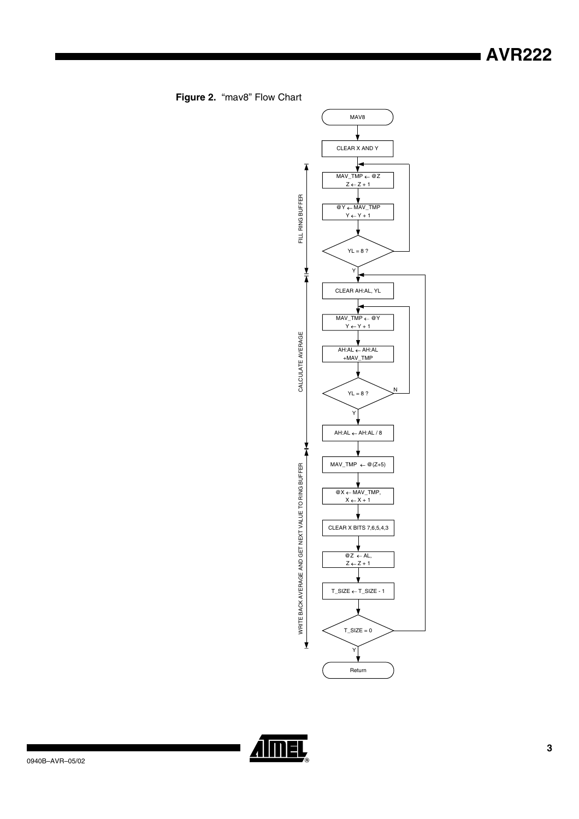**Figure 2.** "mav8" Flow Chart



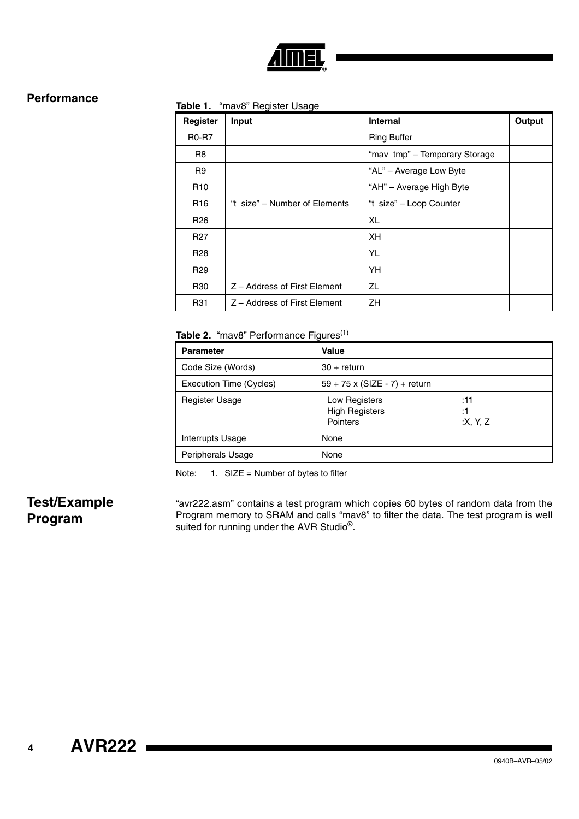

## **Performance**

## **Table 1.** "mav8" Register Usage

| Register        | Input                         | <b>Internal</b>               | Output |
|-----------------|-------------------------------|-------------------------------|--------|
| <b>R0-R7</b>    |                               | <b>Ring Buffer</b>            |        |
| R8              |                               | "mav_tmp" - Temporary Storage |        |
| R9              |                               | "AL" - Average Low Byte       |        |
| R <sub>10</sub> |                               | "AH" - Average High Byte      |        |
| R <sub>16</sub> | "t size" – Number of Elements | "t_size" – Loop Counter       |        |
| R <sub>26</sub> |                               | XL                            |        |
| R27             |                               | XH                            |        |
| R <sub>28</sub> |                               | YL                            |        |
| R <sub>29</sub> |                               | YH.                           |        |
| R <sub>30</sub> | Z - Address of First Element  | ZL                            |        |
| R31             | Z – Address of First Element  | ΖH                            |        |

## Table 2. "mav8" Performance Figures<sup>[\(1\)](#page-3-0)</sup>

| <b>Parameter</b>         | Value                                                     |                                 |  |
|--------------------------|-----------------------------------------------------------|---------------------------------|--|
| Code Size (Words)        | $30 +$ return                                             |                                 |  |
| Execution Time (Cycles)  |                                                           | $59 + 75$ x (SIZE - 7) + return |  |
| <b>Register Usage</b>    | Low Registers<br><b>High Registers</b><br><b>Pointers</b> | :11<br>:1<br>:X, Y, Z           |  |
| Interrupts Usage         | None                                                      |                                 |  |
| <b>Peripherals Usage</b> | None                                                      |                                 |  |

<span id="page-3-0"></span>Note: 1. SIZE = Number of bytes to filter

## **Test/Example Program**

"avr222.asm" contains a test program which copies 60 bytes of random data from the Program memory to SRAM and calls "mav8" to filter the data. The test program is well suited for running under the AVR Studio<sup>®</sup>.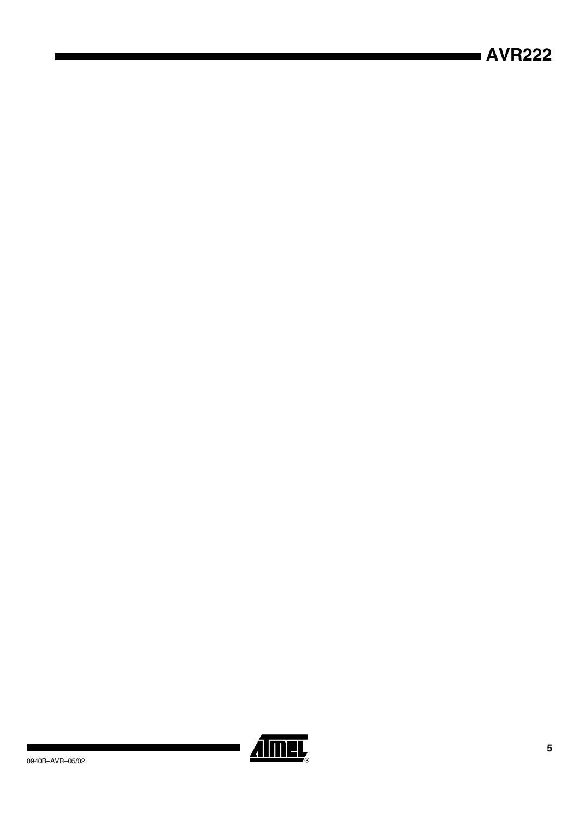